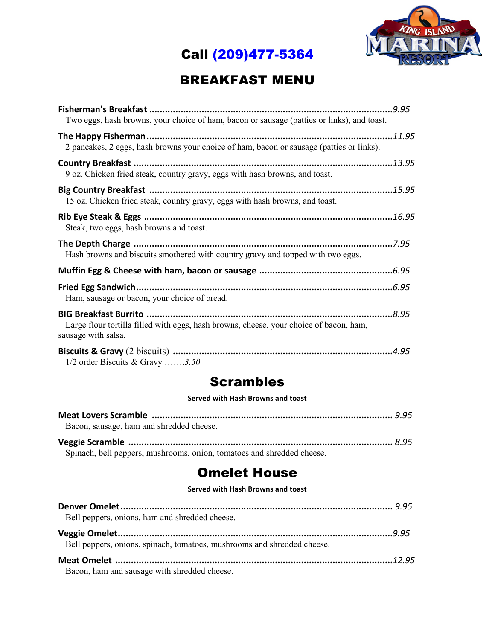



### BREAKFAST MENU

| Two eggs, hash browns, your choice of ham, bacon or sausage (patties or links), and toast. |  |
|--------------------------------------------------------------------------------------------|--|
|                                                                                            |  |
| 2 pancakes, 2 eggs, hash browns your choice of ham, bacon or sausage (patties or links).   |  |
|                                                                                            |  |
| 9 oz. Chicken fried steak, country gravy, eggs with hash browns, and toast.                |  |
|                                                                                            |  |
| 15 oz. Chicken fried steak, country gravy, eggs with hash browns, and toast.               |  |
|                                                                                            |  |
| Steak, two eggs, hash browns and toast.                                                    |  |
|                                                                                            |  |
| Hash browns and biscuits smothered with country gravy and topped with two eggs.            |  |
|                                                                                            |  |
|                                                                                            |  |
| Ham, sausage or bacon, your choice of bread.                                               |  |
|                                                                                            |  |
| Large flour tortilla filled with eggs, hash browns, cheese, your choice of bacon, ham,     |  |
| sausage with salsa.                                                                        |  |
|                                                                                            |  |
| $1/2$ order Biscuits & Gravy 3.50                                                          |  |

#### Scrambles

#### **Served with Hash Browns and toast**

| Bacon, sausage, ham and shredded cheese.                               |  |
|------------------------------------------------------------------------|--|
|                                                                        |  |
| Spinach, bell peppers, mushrooms, onion, tomatoes and shredded cheese. |  |

#### Omelet House

#### **Served with Hash Browns and toast**

| Bell peppers, onions, ham and shredded cheese.                          |  |
|-------------------------------------------------------------------------|--|
|                                                                         |  |
| Bell peppers, onions, spinach, tomatoes, mushrooms and shredded cheese. |  |
|                                                                         |  |
| Bacon, ham and sausage with shredded cheese.                            |  |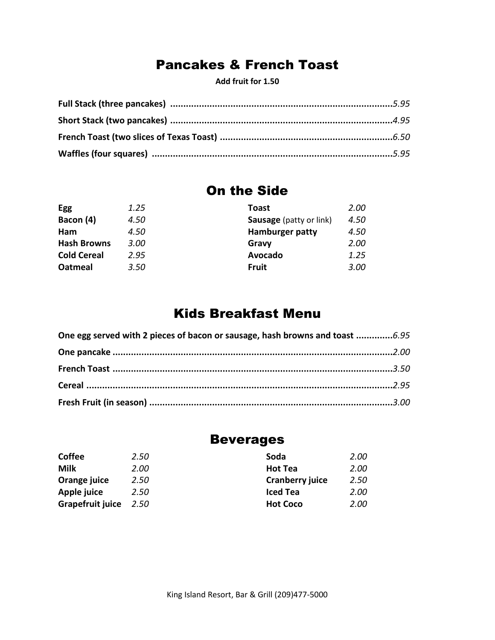### Pancakes & French Toast

**Add fruit for 1.50**

#### On the Side

| <b>Egg</b>         | 1.25 | Toast                          | <b>2.00</b> |
|--------------------|------|--------------------------------|-------------|
| Bacon (4)          | 4.50 | <b>Sausage</b> (patty or link) | 4.50        |
| Ham                | 4.50 | Hamburger patty                | 4.50        |
| <b>Hash Browns</b> | 3.00 | Gravy                          | 2.00        |
| <b>Cold Cereal</b> | 2.95 | Avocado                        | 1.25        |
| <b>Oatmeal</b>     | 3.50 | <b>Fruit</b>                   | 3.00        |
|                    |      |                                |             |

### Kids Breakfast Menu

| One egg served with 2 pieces of bacon or sausage, hash browns and toast 6.95 |  |
|------------------------------------------------------------------------------|--|
|                                                                              |  |
|                                                                              |  |
|                                                                              |  |
|                                                                              |  |

### Beverages

| <b>Coffee</b>    | 2.50 | Soda                   | 2.00 |
|------------------|------|------------------------|------|
| <b>Milk</b>      | 2.00 | <b>Hot Tea</b>         | 2.00 |
| Orange juice     | 2.50 | <b>Cranberry juice</b> | 2.50 |
| Apple juice      | 2.50 | <b>Iced Tea</b>        | 2.00 |
| Grapefruit juice | 2.50 | <b>Hot Coco</b>        | 2.00 |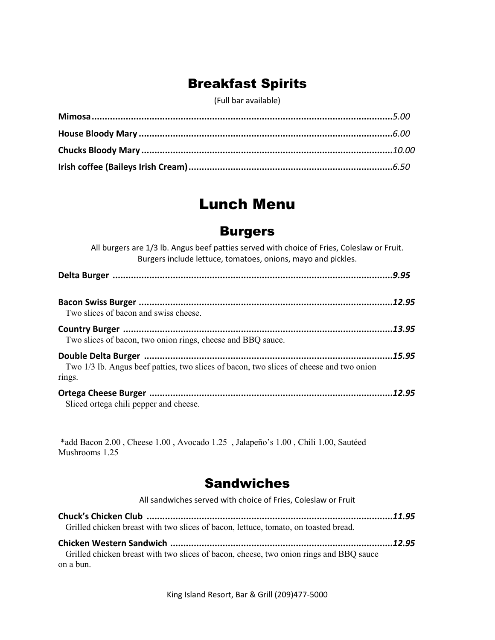## Breakfast Spirits

(Full bar available)

# Lunch Menu

#### Burgers

| All burgers are 1/3 lb. Angus beef patties served with choice of Fries, Coleslaw or Fruit.<br>Burgers include lettuce, tomatoes, onions, mayo and pickles. |        |
|------------------------------------------------------------------------------------------------------------------------------------------------------------|--------|
|                                                                                                                                                            | .9.95  |
| Two slices of bacon and swiss cheese.                                                                                                                      | .12.95 |
| Two slices of bacon, two onion rings, cheese and BBQ sauce.                                                                                                | .13.95 |
| Two 1/3 lb. Angus beef patties, two slices of bacon, two slices of cheese and two onion<br>rings.                                                          | .15.95 |
| Sliced ortega chili pepper and cheese.                                                                                                                     | 12.95  |

\*add Bacon 2.00 , Cheese 1.00 , Avocado 1.25 , Jalapeño's 1.00 , Chili 1.00, Sautéed Mushrooms 1.25

## Sandwiches

| All sandwiches served with choice of Fries, Coleslaw or Fruit                                       |  |
|-----------------------------------------------------------------------------------------------------|--|
|                                                                                                     |  |
| Grilled chicken breast with two slices of bacon, lettuce, tomato, on toasted bread.                 |  |
|                                                                                                     |  |
| Grilled chicken breast with two slices of bacon, cheese, two onion rings and BBQ sauce<br>on a bun. |  |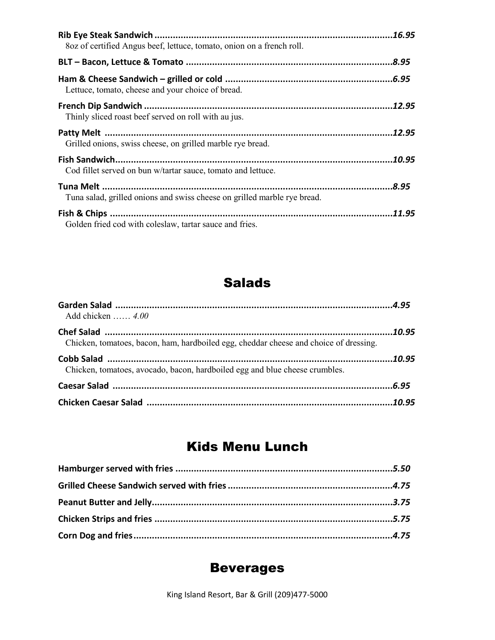| 8oz of certified Angus beef, lettuce, tomato, onion on a french roll.    | .16.95 |
|--------------------------------------------------------------------------|--------|
|                                                                          | .8.95  |
| Lettuce, tomato, cheese and your choice of bread.                        | .6.95  |
| Thinly sliced roast beef served on roll with au jus.                     | 12.95  |
|                                                                          | 12.95  |
| Grilled onions, swiss cheese, on grilled marble rye bread.               |        |
|                                                                          | 10.95  |
| Cod fillet served on bun w/tartar sauce, tomato and lettuce.             |        |
|                                                                          | 8.95.  |
| Tuna salad, grilled onions and swiss cheese on grilled marble rye bread. |        |
| Golden fried cod with coleslaw, tartar sauce and fries.                  | 11.95  |

## Salads

| Add chicken $4.00$                                                                    |  |
|---------------------------------------------------------------------------------------|--|
|                                                                                       |  |
| Chicken, tomatoes, bacon, ham, hardboiled egg, cheddar cheese and choice of dressing. |  |
|                                                                                       |  |
| Chicken, tomatoes, avocado, bacon, hardboiled egg and blue cheese crumbles.           |  |
|                                                                                       |  |
|                                                                                       |  |

## Kids Menu Lunch

## Beverages